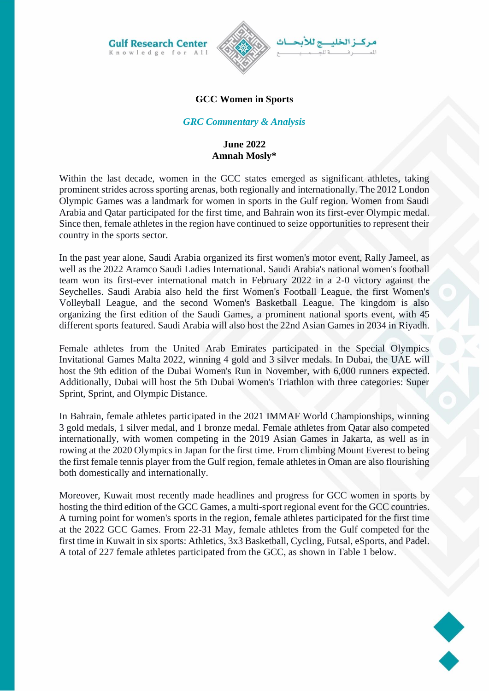**Gulf Research Center** Knowledge for All



# **GCC Women in Sports**

### *GRC Commentary & Analysis*

## **June 2022 Amnah Mosly\***

Within the last decade, women in the GCC states emerged as significant athletes, taking prominent strides across sporting arenas, both regionally and internationally. The 2012 London Olympic Games was a landmark for women in sports in the Gulf region. Women from Saudi Arabia and Qatar participated for the first time, and Bahrain won its first-ever Olympic medal. Since then, female athletes in the region have continued to seize opportunities to represent their country in the sports sector.

In the past year alone, Saudi Arabia organized its first women's motor event, Rally Jameel, as well as the 2022 Aramco Saudi Ladies International. Saudi Arabia's national women's football team won its first-ever international match in February 2022 in a 2-0 victory against the Seychelles. Saudi Arabia also held the first Women's Football League, the first Women's Volleyball League, and the second Women's Basketball League. The kingdom is also organizing the first edition of the Saudi Games, a prominent national sports event, with 45 different sports featured. Saudi Arabia will also host the 22nd Asian Games in 2034 in Riyadh.

Female athletes from the United Arab Emirates participated in the Special Olympics Invitational Games Malta 2022, winning 4 gold and 3 silver medals. In Dubai, the UAE will host the 9th edition of the Dubai Women's Run in November, with 6,000 runners expected. Additionally, Dubai will host the 5th Dubai Women's Triathlon with three categories: Super Sprint, Sprint, and Olympic Distance.

In Bahrain, female athletes participated in the 2021 IMMAF World Championships, winning 3 gold medals, 1 silver medal, and 1 bronze medal. Female athletes from Qatar also competed internationally, with women competing in the 2019 Asian Games in Jakarta, as well as in rowing at the 2020 Olympics in Japan for the first time. From climbing Mount Everest to being the first female tennis player from the Gulf region, female athletes in Oman are also flourishing both domestically and internationally.

Moreover, Kuwait most recently made headlines and progress for GCC women in sports by hosting the third edition of the GCC Games, a multi-sport regional event for the GCC countries. A turning point for women's sports in the region, female athletes participated for the first time at the 2022 GCC Games. From 22-31 May, female athletes from the Gulf competed for the first time in Kuwait in six sports: Athletics, 3x3 Basketball, Cycling, Futsal, eSports, and Padel. A total of 227 female athletes participated from the GCC, as shown in Table 1 below.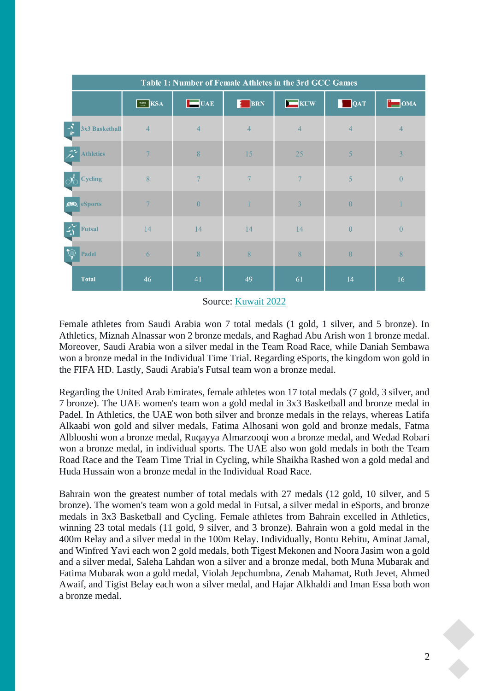| Table 1: Number of Female Athletes in the 3rd GCC Games |                     |                 |                |                    |                |                                |  |  |
|---------------------------------------------------------|---------------------|-----------------|----------------|--------------------|----------------|--------------------------------|--|--|
|                                                         | $\boxed{\cong}$ KSA | $\Box$ UAE      | BRN            | $\blacksquare$ KUW | $\Box$ QAT     | $\overline{\phantom{a}}^*$ OMA |  |  |
| 3x3 Basketball<br>$\mathbf{r}$                          | $\overline{4}$      | $\overline{4}$  | $\overline{4}$ | $\overline{4}$     | $\overline{4}$ | $\overline{4}$                 |  |  |
| <b>Athletics</b>                                        | $7\phantom{.0}$     | 8               | 15             | 25                 | $\overline{5}$ | $\overline{3}$                 |  |  |
| <b>Cycling</b>                                          | $\sqrt{8}$          | $7\phantom{.0}$ | $\overline{7}$ | $7\phantom{.0}$    | $\overline{5}$ | $\overline{0}$                 |  |  |
| <b>Sports</b>                                           | $7\phantom{.0}$     | $\overline{0}$  | $\mathbf{1}$   | $\overline{3}$     | $\overline{0}$ |                                |  |  |
| <b>Futsal</b>                                           | 14                  | 14              | 14             | 14                 | $\overline{0}$ | $\theta$                       |  |  |
| $\bigcirc$<br>Padel                                     | 6                   | 8               | 8              | 8                  | $\theta$       | 8                              |  |  |
| <b>Total</b>                                            | 46                  | 41              | 49             | 61                 | 14             | 16                             |  |  |

#### Source: [Kuwait 2022](https://kuwait2022.org/)

Female athletes from Saudi Arabia won 7 total medals (1 gold, 1 silver, and 5 bronze). In Athletics, Miznah Alnassar won 2 bronze medals, and Raghad Abu Arish won 1 bronze medal. Moreover, Saudi Arabia won a silver medal in the Team Road Race, while Daniah Sembawa won a bronze medal in the Individual Time Trial. Regarding eSports, the kingdom won gold in the FIFA HD. Lastly, Saudi Arabia's Futsal team won a bronze medal.

Regarding the United Arab Emirates, female athletes won 17 total medals (7 gold, 3 silver, and 7 bronze). The UAE women's team won a gold medal in 3x3 Basketball and bronze medal in Padel. In Athletics, the UAE won both silver and bronze medals in the relays, whereas Latifa Alkaabi won gold and silver medals, Fatima Alhosani won gold and bronze medals, Fatma Alblooshi won a bronze medal, Ruqayya Almarzooqi won a bronze medal, and Wedad Robari won a bronze medal, in individual sports. The UAE also won gold medals in both the Team Road Race and the Team Time Trial in Cycling, while Shaikha Rashed won a gold medal and Huda Hussain won a bronze medal in the Individual Road Race.

Bahrain won the greatest number of total medals with 27 medals (12 gold, 10 silver, and 5 bronze). The women's team won a gold medal in Futsal, a silver medal in eSports, and bronze medals in 3x3 Basketball and Cycling. Female athletes from Bahrain excelled in Athletics, winning 23 total medals (11 gold, 9 silver, and 3 bronze). Bahrain won a gold medal in the 400m Relay and a silver medal in the 100m Relay. Individually, Bontu Rebitu, Aminat Jamal, and Winfred Yavi each won 2 gold medals, both Tigest Mekonen and Noora Jasim won a gold and a silver medal, Saleha Lahdan won a silver and a bronze medal, both Muna Mubarak and Fatima Mubarak won a gold medal, Violah Jepchumbna, Zenab Mahamat, Ruth Jevet, Ahmed Awaif, and Tigist Belay each won a silver medal, and Hajar Alkhaldi and Iman Essa both won a bronze medal.